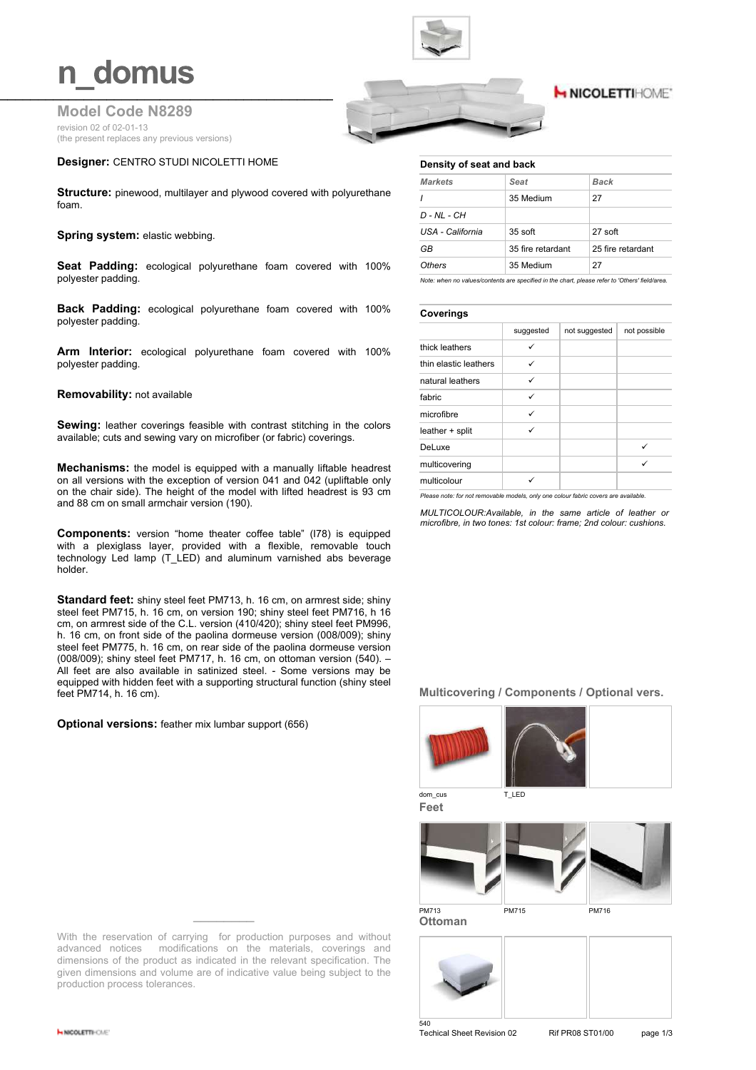### n domus

#### **Model Code N8289** revision 02 of 02-01-13 (the present replaces any previous versions)

#### **Designer:** CENTRO STUDI NICOLETTI HOME

**Structure:** pinewood, multilayer and plywood covered with polyurethane foam.

#### **Spring system: elastic webbing.**

**Seat Padding:** ecological polyurethane foam covered with 100% polyester padding.

**Back Padding:** ecological polyurethane foam covered with 100% polyester padding.

**Arm Interior:** ecological polyurethane foam covered with 100% polyester padding.

#### **Removability:** not available

**Sewing:** leather coverings feasible with contrast stitching in the colors available; cuts and sewing vary on microfiber (or fabric) coverings.

**Mechanisms:** the model is equipped with a manually liftable headrest on all versions with the exception of version 041 and 042 (upliftable only on the chair side). The height of the model with lifted headrest is 93 cm and 88 cm on small armchair version (190).

**Components:** version "home theater coffee table" (I78) is equipped with a plexiglass layer, provided with a flexible, removable touch technology Led lamp (T\_LED) and aluminum varnished abs beverage holder.

**Standard feet:** shiny steel feet PM713, h. 16 cm, on armrest side; shiny steel feet PM715, h. 16 cm, on version 190; shiny steel feet PM716, h 16 cm, on armrest side of the C.L. version (410/420); shiny steel feet PM996, h. 16 cm, on front side of the paolina dormeuse version (008/009): shinv steel feet PM775, h. 16 cm, on rear side of the paolina dormeuse version (008/009); shiny steel feet PM717, h. 16 cm, on ottoman version (540). – All feet are also available in satinized steel. - Some versions may be equipped with hidden feet with a supporting structural function (shiny steel feet PM714, h. 16 cm).

**Optional versions:** feather mix lumbar support (656)

With the reservation of carrying for production purposes and without advanced notices modifications on the materials, coverings and dimensions of the product as indicated in the relevant specification. The given dimensions and volume are of indicative value being subject to the production process tolerances.



#### **H NICOLETTIHOME\***

#### **Density of seat and back**

| <b>Markets</b>   | Seat              | Back              |
|------------------|-------------------|-------------------|
| $\mathbf{I}$     | 35 Medium         | 27                |
| D - NL - CH      |                   |                   |
| USA - California | 35 soft           | 27 soft           |
| GB               | 35 fire retardant | 25 fire retardant |
| <b>Others</b>    | 35 Medium         | 27                |

*Note: when no values/contents are specified in the chart, please refer to 'Others' field/area.*

#### **Coverings**

|                       | suggested | not suggested | not possible |
|-----------------------|-----------|---------------|--------------|
| thick leathers        | ✓         |               |              |
| thin elastic leathers |           |               |              |
| natural leathers      | ✓         |               |              |
| fabric                | ✓         |               |              |
| microfibre            |           |               |              |
| leather + split       | ✓         |               |              |
| DeLuxe                |           |               |              |
| multicovering         |           |               | ✓            |
| multicolour           |           |               |              |

*Please note: for not removable models, only one colour fabric covers are available.*

*MULTICOLOUR:Available, in the same article of leather or microfibre, in two tones: 1st colour: frame; 2nd colour: cushions.*

#### **Multicovering / Components / Optional vers.**



**Feet**



**Ottoman**



Techical Sheet Revision 02 Rif PR08 ST01/00 page 1/3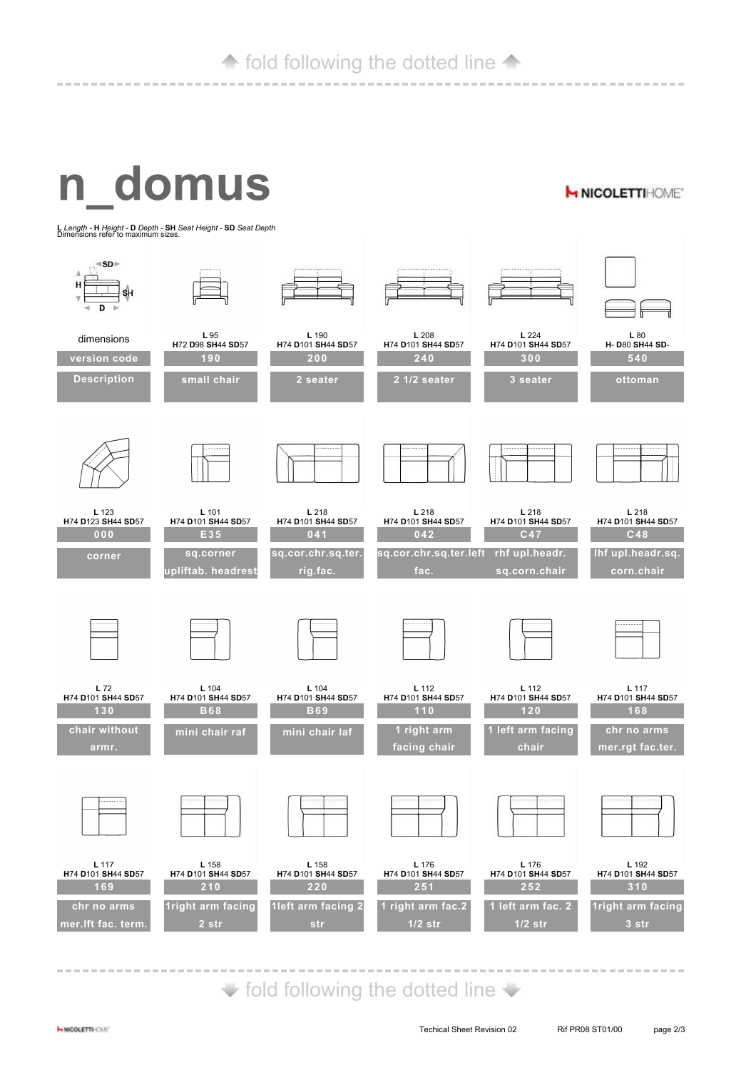#### $\triangle$  fold following the dotted line  $\triangle$

# n domus

**H NICOLETTIHOME\*** 

**L** *Length -* **H** *Height -* **D** *Depth -* **SH** *Seat Height -* **SD** *Seat Depth* Dimensions refer to maximum sizes.



 $\blacktriangleright$  fold following the dotted line  $\blacktriangleright$